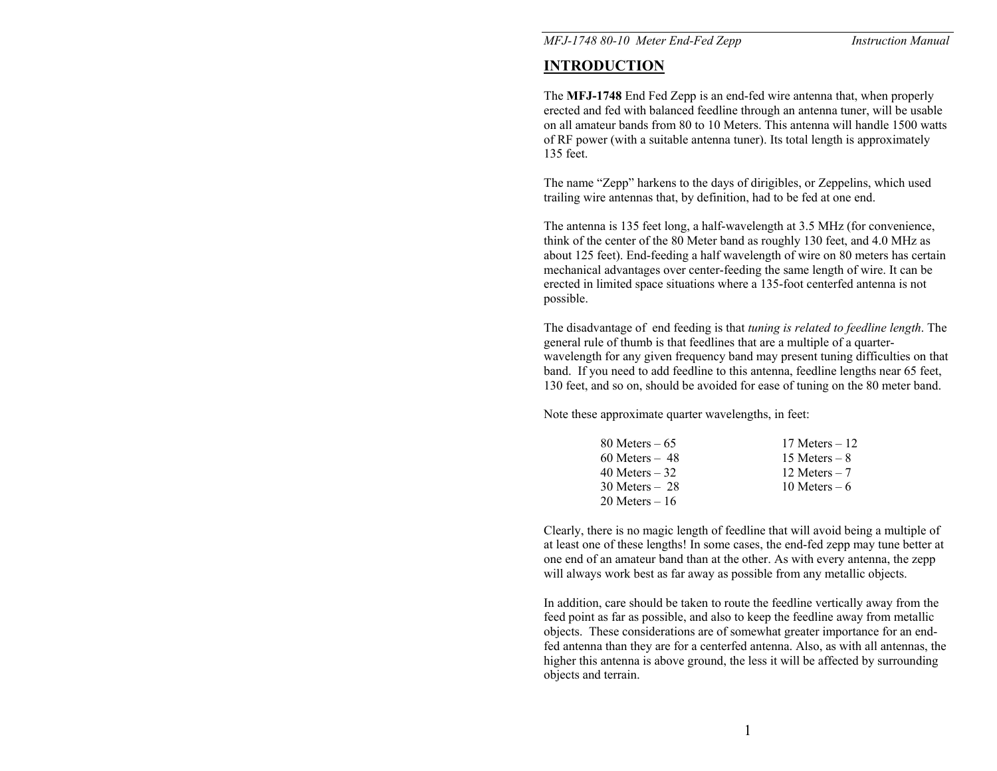*MFJ-1748 80-10 Meter End-Fed Zepp Instruction Manual* 

# **INTRODUCTION**

The **MFJ-1748** End Fed Zepp is an end-fed wire antenna that, when properly erected and fed with balanced feedline through an antenna tuner, will be usable on all amateur bands from 80 to 10 Meters. This antenna will handle 1500 watts of RF power (with a suitable antenna tuner). Its total length is approximately 135 feet.

The name "Zepp" harkens to the days of dirigibles, or Zeppelins, which used trailing wire antennas that, by definition, had to be fed at one end.

The antenna is 135 feet long, a half-wavelength at 3.5 MHz (for convenience, think of the center of the 80 Meter band as roughly 130 feet, and 4.0 MHz as about 125 feet). End-feeding a half wavelength of wire on 80 meters has certain mechanical advantages over center-feeding the same length of wire. It can be erected in limited space situations where a 135-foot centerfed antenna is not possible.

The disadvantage of end feeding is that *tuning is related to feedline length*. The general rule of thumb is that feedlines that are a multiple of a quarterwavelength for any given frequency band may present tuning difficulties on that band. If you need to add feedline to this antenna, feedline lengths near 65 feet, 130 feet, and so on, should be avoided for ease of tuning on the 80 meter band.

Note these approximate quarter wavelengths, in feet:

| 80 Meters $-65$   | 17 Meters $-12$ |
|-------------------|-----------------|
| $60$ Meters $-48$ | 15 Meters $-8$  |
| 40 Meters $-32$   | 12 Meters $-7$  |
| $30$ Meters $-28$ | 10 Meters $-6$  |
| $20$ Meters $-16$ |                 |

Clearly, there is no magic length of feedline that will avoid being a multiple of at least one of these lengths! In some cases, the end-fed zepp may tune better at one end of an amateur band than at the other. As with every antenna, the zepp will always work best as far away as possible from any metallic objects.

In addition, care should be taken to route the feedline vertically away from the feed point as far as possible, and also to keep the feedline away from metallic objects. These considerations are of somewhat greater importance for an endfed antenna than they are for a centerfed antenna. Also, as with all antennas, the higher this antenna is above ground, the less it will be affected by surrounding objects and terrain.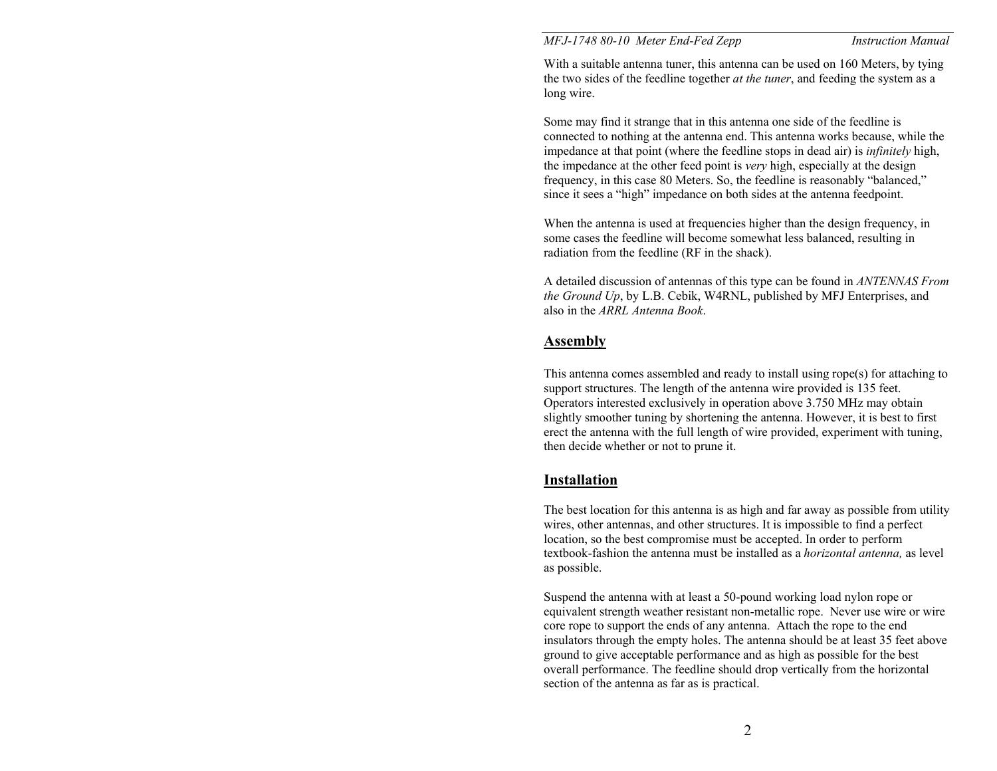### *MFJ-1748 80-10 Meter End-Fed Zepp Instruction Manual*

With a suitable antenna tuner, this antenna can be used on 160 Meters, by tying the two sides of the feedline together *at the tuner*, and feeding the system as a long wire.

Some may find it strange that in this antenna one side of the feedline is connected to nothing at the antenna end. This antenna works because, while the impedance at that point (where the feedline stops in dead air) is *infinitely* high, the impedance at the other feed point is *very* high, especially at the design frequency, in this case 80 Meters. So, the feedline is reasonably "balanced," since it sees a "high" impedance on both sides at the antenna feedpoint.

When the antenna is used at frequencies higher than the design frequency, in some cases the feedline will become somewhat less balanced, resulting in radiation from the feedline (RF in the shack).

A detailed discussion of antennas of this type can be found in *ANTENNAS From the Ground Up*, by L.B. Cebik, W4RNL, published by MFJ Enterprises, and also in the *ARRL Antenna Book*.

## **Assembly**

This antenna comes assembled and ready to install using rope(s) for attaching to support structures. The length of the antenna wire provided is 135 feet. Operators interested exclusively in operation above 3.750 MHz may obtain slightly smoother tuning by shortening the antenna. However, it is best to first erect the antenna with the full length of wire provided, experiment with tuning, then decide whether or not to prune it.

### **Installation**

The best location for this antenna is as high and far away as possible from utility wires, other antennas, and other structures. It is impossible to find a perfect location, so the best compromise must be accepted. In order to perform textbook-fashion the antenna must be installed as a *horizontal antenna,* as level as possible.

Suspend the antenna with at least a 50-pound working load nylon rope or equivalent strength weather resistant non-metallic rope. Never use wire or wire core rope to support the ends of any antenna. Attach the rope to the end insulators through the empty holes. The antenna should be at least 35 feet above ground to give acceptable performance and as high as possible for the best overall performance. The feedline should drop vertically from the horizontal section of the antenna as far as is practical.